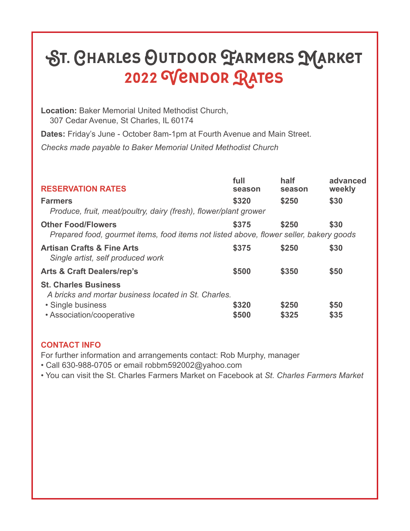## St. Charles Outdoor Farmers Market 2022 Vendor Rates

**Location:** Baker Memorial United Methodist Church, 307 Cedar Avenue, St Charles, IL 60174

**Dates:** Friday's June - October 8am-1pm at Fourth Avenue and Main Street.

*Checks made payable to Baker Memorial United Methodist Church*

| <b>RESERVATION RATES</b>                                                                                            | full<br>season | half<br>season | advanced<br>weekly |
|---------------------------------------------------------------------------------------------------------------------|----------------|----------------|--------------------|
| <b>Farmers</b><br>Produce, fruit, meat/poultry, dairy (fresh), flower/plant grower                                  | \$320          | \$250          | \$30               |
| <b>Other Food/Flowers</b><br>Prepared food, gourmet items, food items not listed above, flower seller, bakery goods | \$375          | \$250          | \$30               |
| <b>Artisan Crafts &amp; Fine Arts</b><br>Single artist, self produced work                                          | \$375          | \$250          | \$30               |
| <b>Arts &amp; Craft Dealers/rep's</b>                                                                               | \$500          | \$350          | \$50               |
| <b>St. Charles Business</b><br>A bricks and mortar business located in St. Charles.                                 |                |                |                    |
| • Single business                                                                                                   | \$320          | \$250          | \$50               |
| • Association/cooperative                                                                                           | \$500          | \$325          | \$35               |

## **CONTACT INFO**

For further information and arrangements contact: Rob Murphy, manager

• Call 630-988-0705 or email robbm592002@yahoo.com

• You can visit the St. Charles Farmers Market on Facebook at *St. Charles Farmers Market*